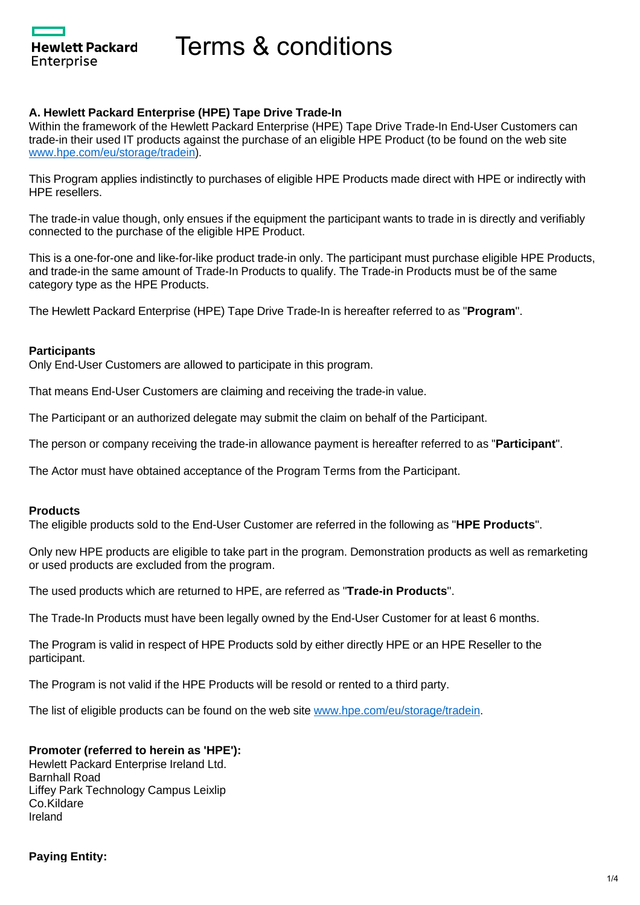Hewlett Packard Enterprise

Terms & conditions

## **A. Hewlett Packard Enterprise (HPE) Tape Drive Trade-In**

Within the framework of the Hewlett Packard Enterprise (HPE) Tape Drive Trade-In End-User Customers can trade-in their used IT products against the purchase of an eligible HPE Product (to be found on the web site [www.hpe.com/eu/storage/tradein](http://www.hpe.com/eu/storage/tradein)).

This Program applies indistinctly to purchases of eligible HPE Products made direct with HPE or indirectly with HPE resellers.

The trade-in value though, only ensues if the equipment the participant wants to trade in is directly and verifiably connected to the purchase of the eligible HPE Product.

This is a one-for-one and like-for-like product trade-in only. The participant must purchase eligible HPE Products, and trade-in the same amount of Trade-In Products to qualify. The Trade-in Products must be of the same category type as the HPE Products.

The Hewlett Packard Enterprise (HPE) Tape Drive Trade-In is hereafter referred to as "**Program**".

### **Participants**

Only End-User Customers are allowed to participate in this program.

That means End-User Customers are claiming and receiving the trade-in value.

The Participant or an authorized delegate may submit the claim on behalf of the Participant.

The person or company receiving the trade-in allowance payment is hereafter referred to as "**Participant**".

The Actor must have obtained acceptance of the Program Terms from the Participant.

### **Products**

The eligible products sold to the End-User Customer are referred in the following as "**HPE Products**".

Only new HPE products are eligible to take part in the program. Demonstration products as well as remarketing or used products are excluded from the program.

The used products which are returned to HPE, are referred as "**Trade-in Products**".

The Trade-In Products must have been legally owned by the End-User Customer for at least 6 months.

The Program is valid in respect of HPE Products sold by either directly HPE or an HPE Reseller to the participant.

The Program is not valid if the HPE Products will be resold or rented to a third party.

The list of eligible products can be found on the web site [www.hpe.com/eu/storage/tradein](http://www.hpe.com/eu/storage/tradein).

### **Promoter (referred to herein as 'HPE'):**

Hewlett Packard Enterprise Ireland Ltd. Barnhall Road Liffey Park Technology Campus Leixlip Co.Kildare Ireland

**Paying Entity:**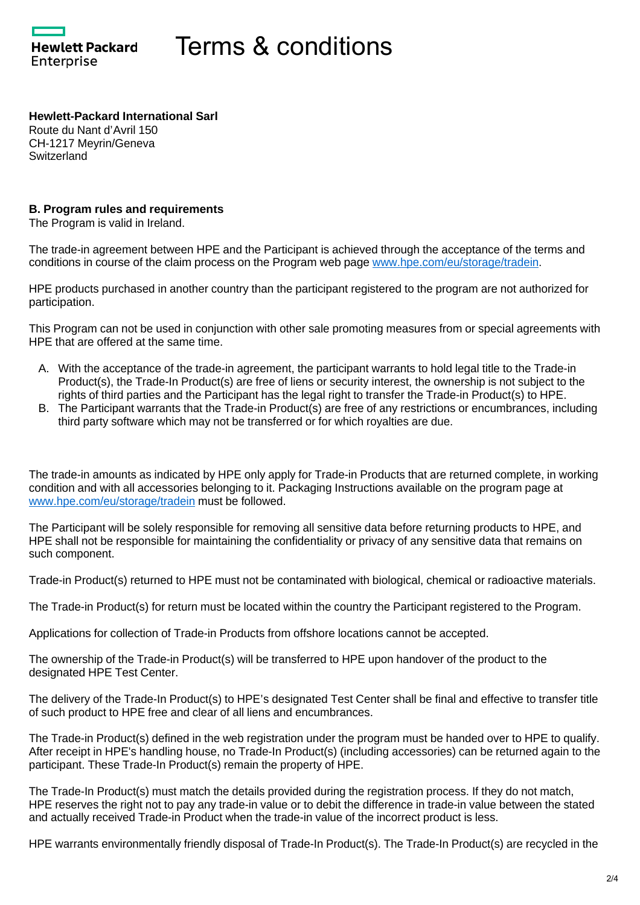**Hewlett Packard** Enterprise

# Terms & conditions

**Hewlett-Packard International Sarl** Route du Nant d'Avril 150 CH-1217 Meyrin/Geneva **Switzerland** 

### **B. Program rules and requirements**

The Program is valid in Ireland.

The trade-in agreement between HPE and the Participant is achieved through the acceptance of the terms and conditions in course of the claim process on the Program web page [www.hpe.com/eu/storage/tradein.](http://www.hpe.com/eu/storage/tradein)

HPE products purchased in another country than the participant registered to the program are not authorized for participation.

This Program can not be used in conjunction with other sale promoting measures from or special agreements with HPE that are offered at the same time.

- A. With the acceptance of the trade-in agreement, the participant warrants to hold legal title to the Trade-in Product(s), the Trade-In Product(s) are free of liens or security interest, the ownership is not subject to the rights of third parties and the Participant has the legal right to transfer the Trade-in Product(s) to HPE.
- B. The Participant warrants that the Trade-in Product(s) are free of any restrictions or encumbrances, including third party software which may not be transferred or for which royalties are due.

The trade-in amounts as indicated by HPE only apply for Trade-in Products that are returned complete, in working condition and with all accessories belonging to it. Packaging Instructions available on the program page at [www.hpe.com/eu/storage/tradein](http://www.hpe.com/eu/storage/tradein) must be followed.

The Participant will be solely responsible for removing all sensitive data before returning products to HPE, and HPE shall not be responsible for maintaining the confidentiality or privacy of any sensitive data that remains on such component.

Trade-in Product(s) returned to HPE must not be contaminated with biological, chemical or radioactive materials.

The Trade-in Product(s) for return must be located within the country the Participant registered to the Program.

Applications for collection of Trade-in Products from offshore locations cannot be accepted.

The ownership of the Trade-in Product(s) will be transferred to HPE upon handover of the product to the designated HPE Test Center.

The delivery of the Trade-In Product(s) to HPE's designated Test Center shall be final and effective to transfer title of such product to HPE free and clear of all liens and encumbrances.

The Trade-in Product(s) defined in the web registration under the program must be handed over to HPE to qualify. After receipt in HPE's handling house, no Trade-In Product(s) (including accessories) can be returned again to the participant. These Trade-In Product(s) remain the property of HPE.

The Trade-In Product(s) must match the details provided during the registration process. If they do not match, HPE reserves the right not to pay any trade-in value or to debit the difference in trade-in value between the stated and actually received Trade-in Product when the trade-in value of the incorrect product is less.

HPE warrants environmentally friendly disposal of Trade-In Product(s). The Trade-In Product(s) are recycled in the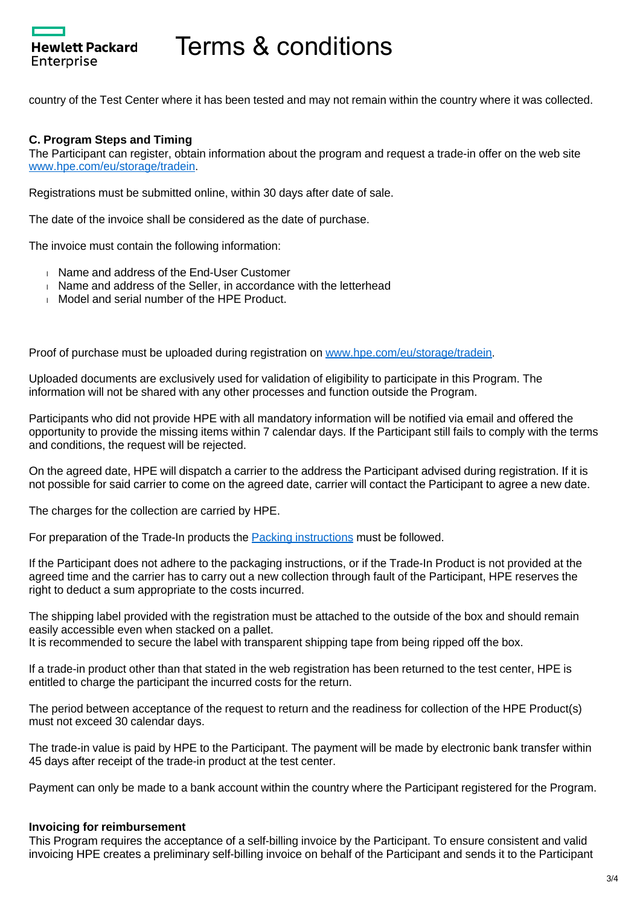

# Terms & conditions

country of the Test Center where it has been tested and may not remain within the country where it was collected.

### **C. Program Steps and Timing**

The Participant can register, obtain information about the program and request a trade-in offer on the web site [www.hpe.com/eu/storage/tradein](http://www.hpe.com/eu/storage/tradein).

Registrations must be submitted online, within 30 days after date of sale.

The date of the invoice shall be considered as the date of purchase.

The invoice must contain the following information:

- Name and address of the End-User Customer
- Name and address of the Seller, in accordance with the letterhead
- **Model and serial number of the HPE Product.**

Proof of purchase must be uploaded during registration on [www.hpe.com/eu/storage/tradein](http://www.hpe.com/eu/storage/tradein).

Uploaded documents are exclusively used for validation of eligibility to participate in this Program. The information will not be shared with any other processes and function outside the Program.

Participants who did not provide HPE with all mandatory information will be notified via email and offered the opportunity to provide the missing items within 7 calendar days. If the Participant still fails to comply with the terms and conditions, the request will be rejected.

On the agreed date, HPE will dispatch a carrier to the address the Participant advised during registration. If it is not possible for said carrier to come on the agreed date, carrier will contact the Participant to agree a new date.

The charges for the collection are carried by HPE.

For preparation of the Trade-In products the [Packing instructions](https://promotions.ext.hpe.com/WMCF.Web/Images/HP/Cleansheet/Special/Documents/Packing%20instructions_(en)_20210-02-25.pdf) must be followed.

If the Participant does not adhere to the packaging instructions, or if the Trade-In Product is not provided at the agreed time and the carrier has to carry out a new collection through fault of the Participant, HPE reserves the right to deduct a sum appropriate to the costs incurred.

The shipping label provided with the registration must be attached to the outside of the box and should remain easily accessible even when stacked on a pallet. It is recommended to secure the label with transparent shipping tape from being ripped off the box.

If a trade-in product other than that stated in the web registration has been returned to the test center, HPE is entitled to charge the participant the incurred costs for the return.

The period between acceptance of the request to return and the readiness for collection of the HPE Product(s) must not exceed 30 calendar days.

The trade-in value is paid by HPE to the Participant. The payment will be made by electronic bank transfer within 45 days after receipt of the trade-in product at the test center.

Payment can only be made to a bank account within the country where the Participant registered for the Program.

#### **Invoicing for reimbursement**

This Program requires the acceptance of a self-billing invoice by the Participant. To ensure consistent and valid invoicing HPE creates a preliminary self-billing invoice on behalf of the Participant and sends it to the Participant